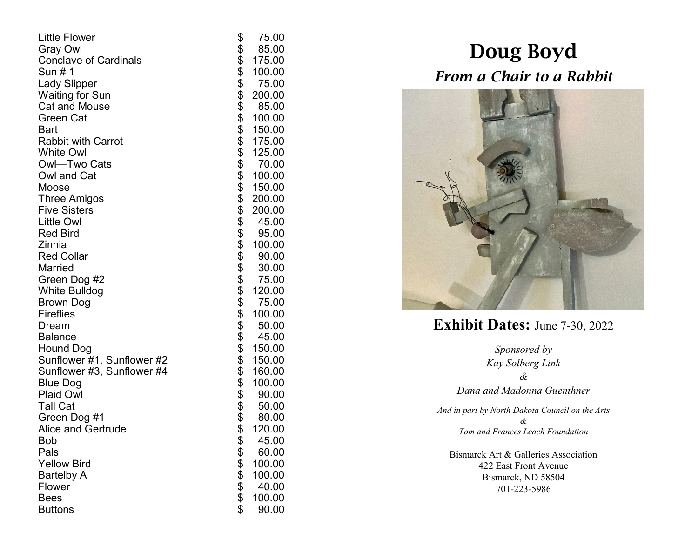| <b>Little Flower</b>         | \$              | 75.00  |
|------------------------------|-----------------|--------|
| <b>Gray Owl</b>              |                 | 85.00  |
| <b>Conclave of Cardinals</b> |                 | 175.00 |
| Sun # 1                      |                 | 100.00 |
| <b>Lady Slipper</b>          |                 | 75.00  |
| <b>Waiting for Sun</b>       |                 | 200.00 |
| <b>Cat and Mouse</b>         |                 | 85.00  |
| Green Cat                    | \$\$\$\$\$\$\$  | 100.00 |
| <b>Bart</b>                  |                 | 150.00 |
| <b>Rabbit with Carrot</b>    |                 | 175.00 |
| <b>White Owl</b>             |                 | 125.00 |
| Owl-Two Cats                 |                 | 70.00  |
| Owl and Cat                  |                 | 100.00 |
| Moose                        |                 | 150.00 |
| <b>Three Amigos</b>          |                 | 200.00 |
| <b>Five Sisters</b>          |                 | 200.00 |
| <b>Little Owl</b>            |                 | 45.00  |
| <b>Red Bird</b>              |                 | 95.00  |
| Zinnia                       |                 | 100.00 |
| <b>Red Collar</b>            |                 | 90.00  |
| <b>Married</b>               |                 | 30.00  |
| Green Dog #2                 |                 | 75.00  |
| <b>White Bulldog</b>         |                 | 120.00 |
| Brown Dog                    |                 | 75.00  |
| <b>Fireflies</b>             |                 | 100.00 |
| Dream                        |                 | 50.00  |
| <b>Balance</b>               |                 | 45.00  |
| Hound Dog                    |                 | 150.00 |
| Sunflower #1, Sunflower #2   |                 | 150.00 |
| Sunflower #3, Sunflower #4   |                 | 160.00 |
| <b>Blue Dog</b>              |                 | 100.00 |
| <b>Plaid Owl</b>             |                 | 90.00  |
| <b>Tall Cat</b>              |                 | 50.00  |
| Green Dog #1                 |                 | 80.00  |
| <b>Alice and Gertrude</b>    |                 | 120.00 |
| <b>Bob</b>                   |                 | 45.00  |
| Pals                         |                 | 60.00  |
| <b>Yellow Bird</b>           |                 | 100.00 |
| <b>Bartelby A</b>            |                 | 100.00 |
| Flower                       |                 | 40.00  |
| <b>Bees</b>                  | <b>88888888</b> | 100.00 |
| <b>Buttons</b>               |                 | 90.00  |

## Doug Boyd *From a Chair to a Rabbit*



**Exhibit Dates:** June 7 -30, 2022

*Sponsored by Kay Solberg Link & Dana and Madonna Guenthner And in part by North Dakota Council on the Arts*

*& Tom and Frances Leach Foundation*

Bismarck Art & Galleries Association 422 East Front Avenue Bismarck, ND 58504 701 -223 -5986